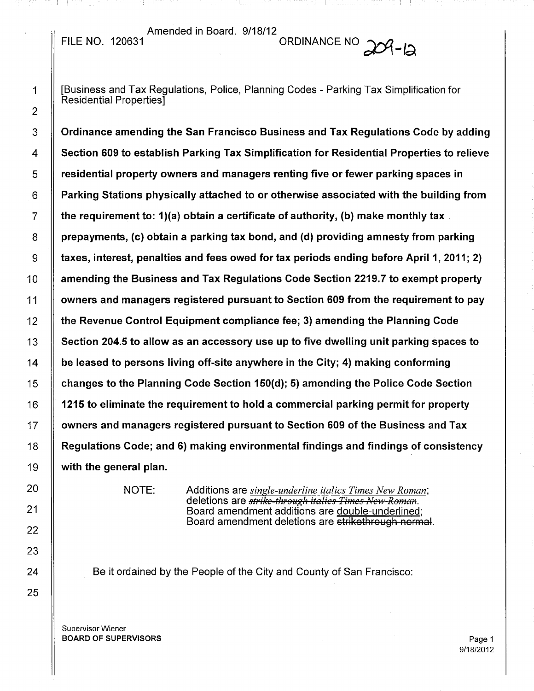Amended in Board. 9/18/12 FILE NO. 120631  $\frac{M_{\text{He}}}{M_{\text{He}}}$  ordinance NO  $204 - 12$ 

1 **II** [Business and Tax Regulations, Police, Planning Codes - Parking Tax Simplification for Residential Properties]

3 | Ordinance amending the San Francisco Business and Tax Regulations Code by adding 4 Section 609 to establish Parking Tax Simplification for Residential Properties to relieve  $5 \parallel$  residential property owners and managers renting five or fewer parking spaces in  $6$   $\parallel$  Parking Stations physically attached to or otherwise associated with the building from 7  $\parallel$  the requirement to: 1)(a) obtain a certificate of authority, (b) make monthly tax  $8 \parallel$  prepayments, (c) obtain a parking tax bond, and (d) providing amnesty from parking  $9 \parallel$  taxes, interest, penalties and fees owed for tax periods ending before April 1, 2011; 2) 10 Amending the Business and Tax Regulations Code Section 2219.7 to exempt property 11 owners and managers registered pursuant to Section 609 from the requirement to pay  $12$   $\parallel$  the Revenue Control Equipment compliance fee; 3) amending the Planning Code 13 | Section 204.5 to allow as an accessory use up to five dwelling unit parking spaces to 14  $\parallel$  be leased to persons living off-site anywhere in the City; 4) making conforming 15  $\parallel$  changes to the Planning Code Section 150(d); 5) amending the Police Code Section 16  $\parallel$  1215 to eliminate the requirement to hold a commercial parking permit for property 17 | owners and managers registered pursuant to Section 609 of the Business and Tax 18 A Regulations Code; and 6) making environmental findings and findings of consistency  $19$   $\parallel$  with the general plan.

NOTE: Additions are *single-underline italics Times New Roman;* deletions are *strike threugh it£llics Times }!ew Reman.* Board amendment additions are double-underlined; Board amendment deletions are strikethrough normal.

Be it ordained by the People of the City and County of San Francisco: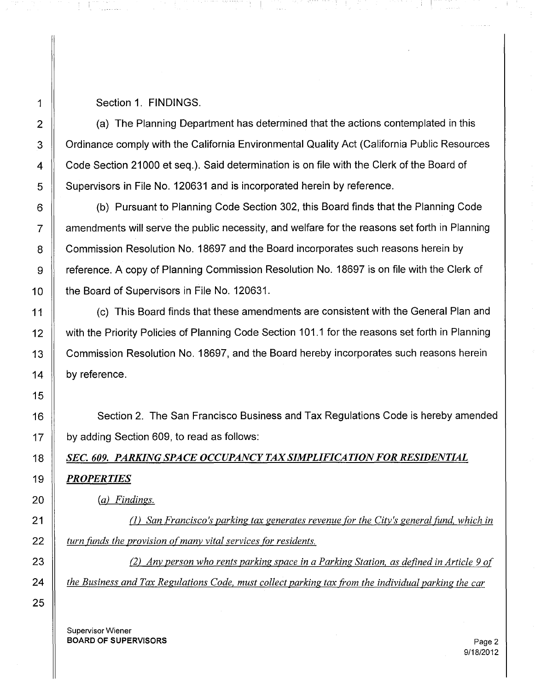## 1 Section 1. FINDINGS.

2  $\parallel$  (a) The Planning Department has determined that the actions contemplated in this 3 | Ordinance comply with the California Environmental Quality Act (California Public Resources 4 Code Section 21000 et seq.). Said determination is on file with the Clerk of the Board of 5 Supervisors in File No. 120631 and is incorporated herein by reference.

6 || (b) Pursuant to Planning Code Section 302, this Board finds that the Planning Code  $7 \parallel$  amendments will serve the public necessity, and welfare for the reasons set forth in Planning 8 Commission Resolution No. 18697 and the Board incorporates such reasons herein by 9 Freference. A copy of Planning Commission Resolution No. 18697 is on file with the Clerk of 10 **the Board of Supervisors in File No. 120631.** 

11 | (c) This Board finds that these amendments are consistent with the General Plan and 12 with the Priority Policies of Planning Code Section 101.1 for the reasons set forth in Planning 13 | Commission Resolution No. 18697, and the Board hereby incorporates such reasons herein 14 | by reference.

16 Section 2. The San Francisco Business and Tax Regulations Code is hereby amended  $17$   $\parallel$  by adding Section 609, to read as follows:

*18 SEC. 609. PARKING SPACE OCCUPANCY TAXSIMPLIFICATIONFOR RESIDENTIAL 19 PROPERTIES*

*20 (a) Findings.*

21 (l) *San Francisco's parking tax generates revenue for the City's general fund. which in 22 turn funds the provision ofmany vital services for residents.*

23 (2) *Any person who rents parking space in a Parking Station, as defined in Article* 9 *of 24 the Business and Tax Regulations Code, must collect parking tax from the individual parking the car*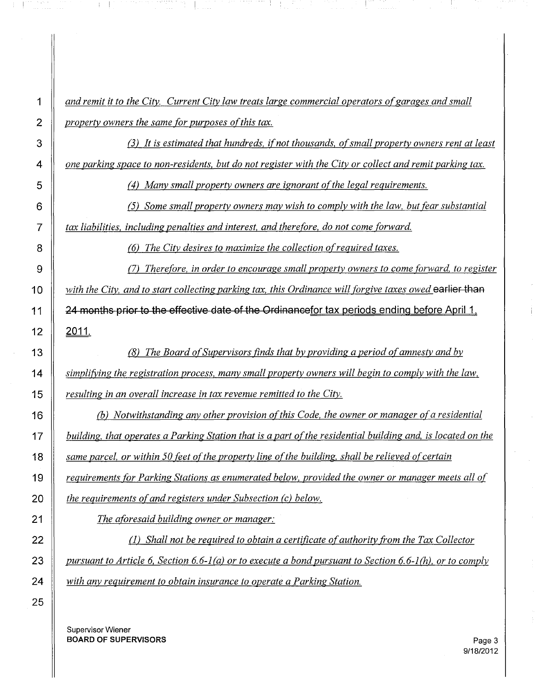*and remit it to the City. Current City law treats large commercial operators ofgarages and small property owners the same for purposes of this tax.* 

an member 1945.<br>Sebagai

a mangalang

 (3) *It is estimated that hundreds, ifnot thousands, ofsmall property owners rent at least* 4 one parking space to non-residents, but do not register with the City or collect and remit parking tax.

(4) *Many small property owners are ignorant ofthe legal requirements.*

(5) *Some small property owners may wish to comply with the law, but (ear substantial*

*tax liabilities, including penalties and interest, and therefore, do not come forward.*

 $+1$ 

(6) *The City desires to maximize the collection ofrequired taxes.*

 (7) *Therefore, in order to encourage small property owners to come forward, to register with the City, and to start collecting parking tax, this Ordinance will forgive taxes owed* earlier than  $\parallel$  24 months prior to the effective date of the Ordinancefor tax periods ending before April 1.

 $12 \parallel 2011$ .

 (8) *The Board ofSupervisors finds that by providing a period ofamnesty and bv simplifying the registration process, many small property owners will begin to comply with the law, resulting in an overall increase in tax revenue remitted to the City.*

 *(b) Notwithstanding any other provision ofthis Code, the owner or manager ofa residential* 17 | building, that operates a Parking Station that is a part of the residential building and, is located on the *same parcel, or within 50 feet ofthe property line ofthe building. shall be relievedofcertain requirements for Parking Stations as enumerated below, provided the owner or manager meets all of the requirements ofand registers under Subsection (c) below.*

*The aforesaid building owner or manager:*

 (l) *Shall not be required to obtain a certificate ofauthority from the Tax Collector* 23 | pursuant to Article 6, Section 6.6-1(a) or to execute a bond pursuant to Section 6.6-1(h), or to comply *with any requirement to obtain insurance to operate a Parking Station.*

Supervisor Wiener BOARD OF SUPERVISORS **Page 3**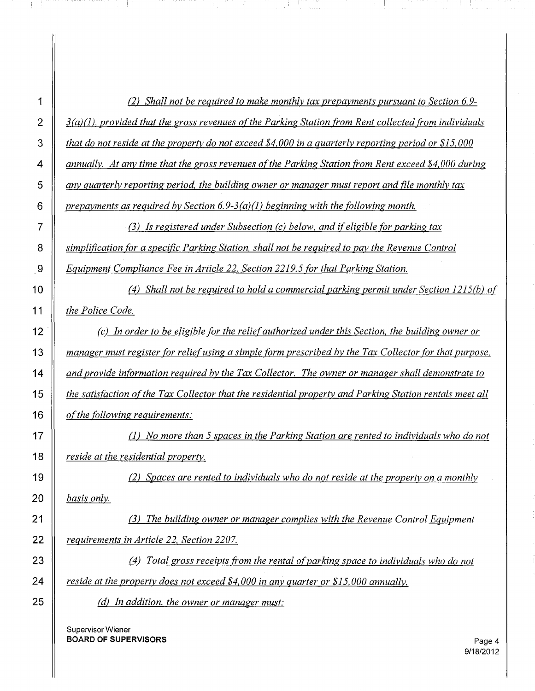| 1              | (2) Shall not be required to make monthly tax prepayments pursuant to Section 6.9-                                   |
|----------------|----------------------------------------------------------------------------------------------------------------------|
| $\overline{2}$ | $\underline{3}(a)(1)$ , provided that the gross revenues of the Parking Station from Rent collected from individuals |
| 3              | that do not reside at the property do not exceed \$4,000 in a quarterly reporting period or \$15,000                 |
| 4              | annually. At any time that the gross revenues of the Parking Station from Rent exceed \$4,000 during                 |
| 5              | any quarterly reporting period, the building owner or manager must report and file monthly tax                       |
| 6              | prepayments as required by Section 6.9-3(a)(1) beginning with the following month.                                   |
| 7              | (3) Is registered under Subsection (c) below, and if eligible for parking tax                                        |
| 8              | simplification for a specific Parking Station, shall not be required to pay the Revenue Control                      |
| 9              | Equipment Compliance Fee in Article 22, Section 2219.5 for that Parking Station.                                     |
| 10             | (4) Shall not be required to hold a commercial parking permit under Section 1215(b) of                               |
| 11             | the Police Code.                                                                                                     |
| 12             | (c) In order to be eligible for the relief authorized under this Section, the building owner or                      |
| 13             | manager must register for relief using a simple form prescribed by the Tax Collector for that purpose,               |
| 14             | and provide information required by the Tax Collector. The owner or manager shall demonstrate to                     |
| 15             | the satisfaction of the Tax Collector that the residential property and Parking Station rentals meet all             |
| 16             | of the following requirements:                                                                                       |
| 17             | $(1)$ No more than 5 spaces in the Parking Station are rented to individuals who do not                              |
| 18             | reside at the residential property.                                                                                  |
| 19             | (2) Spaces are rented to individuals who do not reside at the property on a monthly                                  |
| 20             | basis only.                                                                                                          |
| 21             | (3) The building owner or manager complies with the Revenue Control Equipment                                        |
| 22             | requirements in Article 22, Section 2207.                                                                            |
| 23             | (4) Total gross receipts from the rental of parking space to individuals who do not                                  |
| 24             | reside at the property does not exceed \$4,000 in any quarter or \$15,000 annually.                                  |
| 25             | (d) In addition, the owner or manager must:                                                                          |
|                |                                                                                                                      |

I START THE REPORT OF THE REPORT OF THE REPORT OF THE REPORT OF THE REPORT OF THE REPORT OF THE REPORT OF THE<br>International control of the report of the report of the report of the report of the report of the report of t

Supervisor Wiener **BOARD OF SUPERVISORS** Page 4

**4 또** 

 $\mathcal{L}(\mathcal{L}^{\mathcal{L}})$  and the contract of the set of the set of the set of the set of the set of the set of the set of the set of the set of the set of the set of the set of the set of the set of the set of the set of th

 $\frac{1}{2}$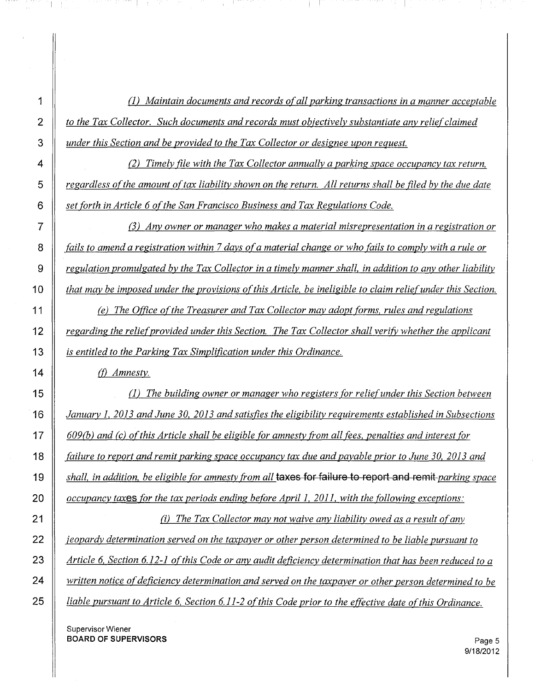(l) *Maintain documents and records ofall parking transactions in a manner acceptable to the Tax Collector. Such documents and records must objectively substantiate any reliefclaimed under this Section and be provided to the Tax Collector or designee upon request.*

 (2) *Timely file with the Tax Collector annually a parking space occupancy tax return,* 5 | regardless of the amount of tax liability shown on the return. All returns shall be filed by the due date *set forth in Article* 6 *ofthe San Francisco Business and Tax Regulations Code.*

 (3) *Any owner or manager who makes a material misrepresentation in a registration or*  $\parallel$  fails to amend a registration within 7 days of a material change or who fails to comply with a rule or 9 | regulation promulgated by the Tax Collector in a timely manner shall, in addition to any other liability  $\parallel$  that may be imposed under the provisions of this Article, be ineligible to claim relief under this Section.

 *(e) The Office ofthe Treasurer and Tax Collector may adopt forms, rules and regulations regarding the reliefprovided under this Section. The Tax Collector shall verify whether the applicant is entitled to the Parking Tax Simplification under this Ordinance.*

(f) *Amnesty.*

 (l) *The building owner or manager who registers for reliefunder this Section between January* I, *2013 and June 30. 2013 and satisfies the eligibility requirements established in Subsections*  $\begin{bmatrix} 17 \end{bmatrix}$  609(b) and (c) of this Article shall be eligible for amnesty from all fees, penalties and interest for 18 | failure to report and remit parking space occupancy tax due and payable prior to June 30, 2013 and  $\parallel$  shall, in addition, be eligible for amnesty from all **taxes for failure to report and remit**-parking space *occupancy taxes for the tax periods ending before April* 1, *2011. with the following exceptions:*

 *(i) The Tax Collector may not waive any liability owed as a result ofany jeopardy determination served on the taxpayer or other person determined to be liable pursuant to Article* 6, *Section* 6.12-1 *ofthis Code or any audit deficiency determination that has been reduced to a written notice of deficiency determination and served on the taxpayer or other person determined to be liable pursuant to Article* 6, *Section* 6.11-2 *ofthis Code prior to the effective date o[this Ordinance.*

Supervisor Wiener **BOARD OF SUPERVISORS** Page 5

M H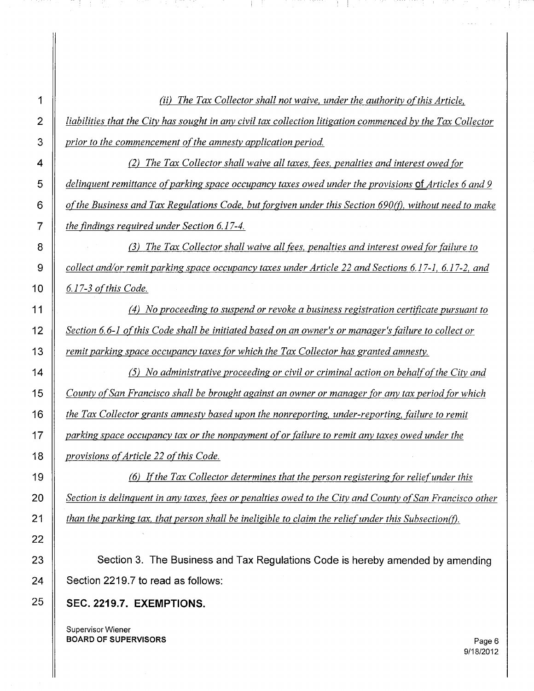vi) *The Tax Collector shall not waive, under the authority o[this Article,* 2  $\parallel$  liabilities that the City has sought in any civil tax collection litigation commenced by the Tax Collector *prior to the commencement ofthe amnesty application period.*

I !

 (2) *The Tax Collector shall waive all taxes, fees, penalties and interest owed for delinquent remittance ofparking space occupancy taxes owed under the provisions QiArticles* 6 *and 9 o[the Business and Tax Regulations Code, but forgiven under this Section 690(0, without need to make the findings required under Section* 6.17-4.

 (3) *The Tax Collector shall waive all fees, penalties and interest owed for failure to collect and/or remit parking space occupancy taxes under Article* 22 *and Sections* 6.17-1, 6.17-2, *and* 6.17-3 *ofthis Code.*

 (4) *No proceeding to suspend or revoke a business registration certificate pursuant to Section* 6.6-1 *o[this Code shall be initiated based on an owner's or manager's failure to collect or remit parking space occupancy taxes for which the Tax Collector has granted amnesty.*

 (5) *No administrative proceeding or civil or criminal action on behalfo[the City and* 15 | County of San Francisco shall be brought against an owner or manager for any tax period for which *the Tax Collector grants amnesty based upon the nonreporting. under-reporting, failure to remit parking space occupancy tax or the nonpayment ofor failure to remit any taxes owed under the provisions of Article 22 of this Code.* 

 (6) *I[the Tax Collector determines that the person registering for reliefunder this*  $\parallel$  Section is delinguent in any taxes, fees or penalties owed to the City and County of San Francisco other *than the parking tax, that person shall be ineligible to claim the reliefunder this Subsection(O.*

 **Section 3. The Business and Tax Regulations Code is hereby amended by amending Section 2219.7 to read as follows:**

## **SEC. 2219.7. EXEMPTIONS.**

Supervisor Wiener **BOARD OF SUPERVISORS** Page 6

9/18/2012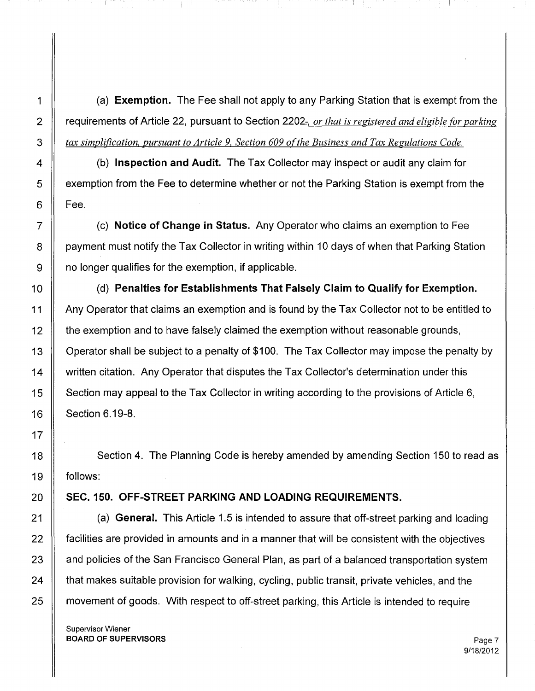(a) **Exemption.** The Fee shall not apply to any Parking Station that is exempt from the requirements of Article 22, pursuant to Section 2202;-, *or that is registered and eligible for parking tax simplification, pursuant to Article* 9, *Section 609 ofthe Business and Tax Regulations Code.*

 (b) **Inspection and Audit.** The Tax Collector may inspect or audit any claim for **EX** exemption from the Fee to determine whether or not the Parking Station is exempt from the  $6 \parallel$  Fee.

 (c) **Notice of Change in Status.** Any Operator who claims an exemption to Fee 8 | payment must notify the Tax Collector in writing within 10 days of when that Parking Station 9 | no longer qualifies for the exemption, if applicable.

 (d) **Penalties for Establishments That Falsely Claim to Qualify for Exemption.** 11 Any Operator that claims an exemption and is found by the Tax Collector not to be entitled to **the exemption and to have falsely claimed the exemption without reasonable grounds,** 13 | Operator shall be subject to a penalty of \$100. The Tax Collector may impose the penalty by 14 | written citation. Any Operator that disputes the Tax Collector's determination under this  $\parallel$  Section may appeal to the Tax Collector in writing according to the provisions of Article 6, **Section 6.19-8.** 

18 Section 4. The Planning Code is hereby amended by amending Section 150 to read as follows:

## **SEC. 150. OFF-STREET PARKING AND LOADING REQUIREMENTS.**

 (a) **General.** This Article 1.5 is intended to assure that off-street parking and loading  $\parallel$  facilities are provided in amounts and in a manner that will be consistent with the objectives  $\parallel$  and policies of the San Francisco General Plan, as part of a balanced transportation system  $\parallel$  that makes suitable provision for walking, cycling, public transit, private vehicles, and the 25 | movement of goods. With respect to off-street parking, this Article is intended to require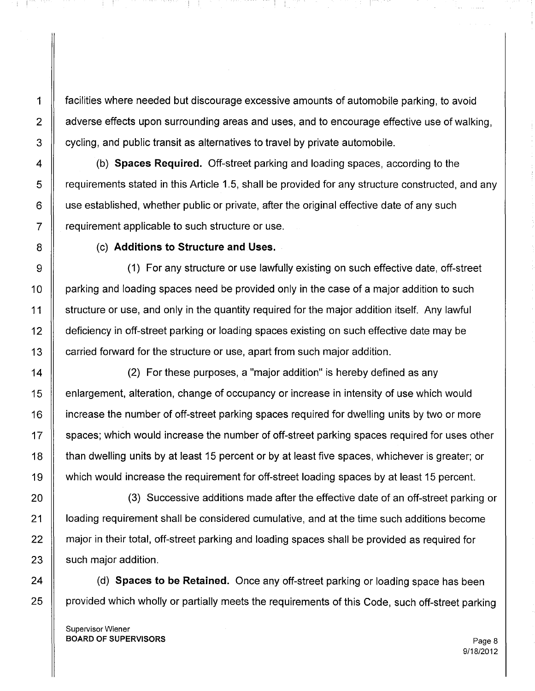1 facilities where needed but discourage excessive amounts of automobile parking, to avoid 2 | adverse effects upon surrounding areas and uses, and to encourage effective use of walking.  $3 \parallel$  cycling, and public transit as alternatives to travel by private automobile.

4 (b) **Spaces Required.** Off-street parking and loading spaces, according to the 5 | requirements stated in this Article 1.5, shall be provided for any structure constructed, and any  $6 \parallel$  use established, whether public or private, after the original effective date of any such  $7 \parallel$  requirement applicable to such structure or use.

8 (c) **Additions to Structure and Uses.**

 $\pm$ 

9 (1) For any structure or use lawfully existing on such effective date, off-street 10 | parking and loading spaces need be provided only in the case of a major addition to such 11 structure or use, and only in the quantity required for the major addition itself. Any lawful 12 deficiency in off-street parking or loading spaces existing on such effective date may be 13 **carried forward for the structure or use, apart from such major addition.** 

14 | (2) For these purposes, a "major addition" is hereby defined as any 15 enlargement, alteration, change of occupancy or increase in intensity of use which would 16 **ignt** increase the number of off-street parking spaces required for dwelling units by two or more 17 Spaces; which would increase the number of off-street parking spaces required for uses other 18 **than dwelling units by at least 15 percent or by at least five spaces, whichever is greater; or** 19 | which would increase the requirement for off-street loading spaces by at least 15 percent.

20 || (3) Successive additions made after the effective date of an off-street parking or 21 | loading requirement shall be considered cumulative, and at the time such additions become 22 **a** major in their total, off-street parking and loading spaces shall be provided as required for  $23$  | such major addition.

24 (d) **Spaces to be Retained.** Once any off-street parking or loading space has been 25 | provided which wholly or partially meets the requirements of this Code, such off-street parking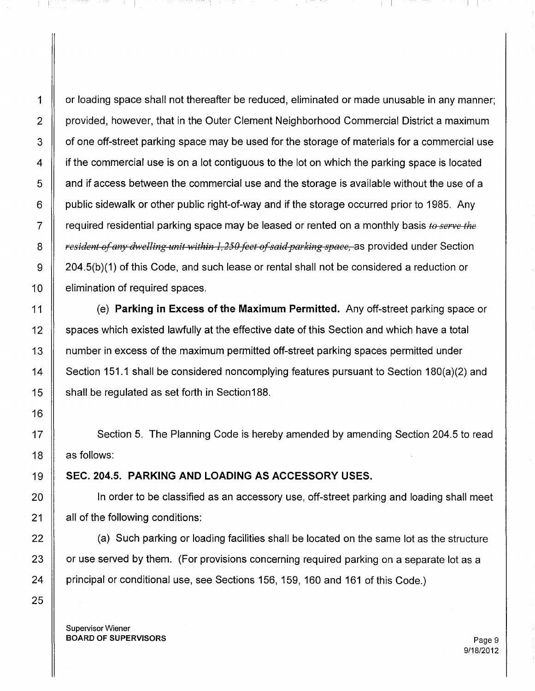1 | or loading space shall not thereafter be reduced, eliminated or made unusable in any manner; 2 | provided, however, that in the Outer Clement Neighborhood Commercial District a maximum  $3 \parallel$  of one off-street parking space may be used for the storage of materials for a commercial use 4 | if the commercial use is on a lot contiguous to the lot on which the parking space is located  $\overline{5}$   $\parallel$  and if access between the commercial use and the storage is available without the use of a 6  $\parallel$  public sidewalk or other public right-of-way and if the storage occurred prior to 1985. Any  $7 \parallel$  required residential parking space may be leased or rented on a monthly basis to serve the 8 *a in early <i>resident of any dwelling unit within 1,250 feet of said parking space, as provided under Section* 9 204.5(b)(1) of this Code, and such lease or rental shall not be considered a reduction or 10 | elimination of required spaces.

11 (e) **Parking in Excess of the Maximum Permitted.** Any off-street parking space or 12 Spaces which existed lawfully at the effective date of this Section and which have a total 13 number in excess of the maximum permitted off-street parking spaces permitted under 14 Section 151.1 shall be considered noncomplying features pursuant to Section 180(a)(2) and 15 | shall be regulated as set forth in Section 188.

17 N Section 5. The Planning Code is hereby amended by amending Section 204.5 to read  $18$  | as follows:

19 SEC. 204.5. **PARKING AND LOADING AS ACCESSORY USES.**

20 **In order to be classified as an accessory use**, off-street parking and loading shall meet  $21$  | all of the following conditions:

 $22$   $\parallel$  (a) Such parking or loading facilities shall be located on the same lot as the structure  $23$   $\parallel$  or use served by them. (For provisions concerning required parking on a separate lot as a 24 | principal or conditional use, see Sections 156, 159, 160 and 161 of this Code.)

Supervisor Wiener BOARD OF SUPERVISORS And the state of the state of the state of the state of the state of the state of the state of the state of the state of the state of the state of the state of the state of the state of the state of th

9/18/2012

! !

الأباد ومعاقل بتعبيد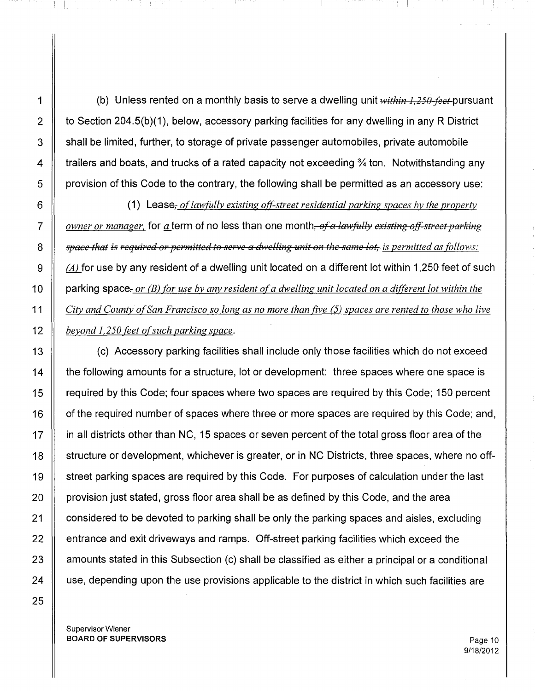1  $\parallel$  (b) Unless rented on a monthly basis to serve a dwelling unit  $within\,I,250-feet$  pursuant 2  $\parallel$  to Section 204.5(b)(1), below, accessory parking facilities for any dwelling in any R District  $3 \parallel$  shall be limited, further, to storage of private passenger automobiles, private automobile 4  $\parallel$  trailers and boats, and trucks of a rated capacity not exceeding % ton. Notwithstanding any  $\overline{5}$  | provision of this Code to the contrary, the following shall be permitted as an accessory use:

 (1) Lease, *oflawfully existing off-street residential parking spaces by the property owner or manager,* for *a* term of no less than one month, of a lawfully existing off-street parking 7  $\parallel$  space that is required or permitted to serve a dwelling unit on the same lot, is permitted as follows:  $\parallel$  (A) for use by any resident of a dwelling unit located on a different lot within 1,250 feet of such parking space;- *or (B2 for use by any resident ofa dwelling unit located on a different lot within the*  $\parallel$  City and County of San Francisco so long as no more than five (5) spaces are rented to those who live *beyond 1,250 feet ofsuch parking space.*

13 **(c)** Accessory parking facilities shall include only those facilities which do not exceed 14  $\parallel$  the following amounts for a structure, lot or development: three spaces where one space is 15 | required by this Code; four spaces where two spaces are required by this Code; 150 percent 16 | of the required number of spaces where three or more spaces are required by this Code; and, 17 **igns** in all districts other than NC, 15 spaces or seven percent of the total gross floor area of the 18 Structure or development, whichever is greater, or in NC Districts, three spaces, where no off-19 Street parking spaces are required by this Code. For purposes of calculation under the last 20  $\parallel$  provision just stated, gross floor area shall be as defined by this Code, and the area 21 | considered to be devoted to parking shall be only the parking spaces and aisles, excluding  $22$   $\parallel$  entrance and exit driveways and ramps. Off-street parking facilities which exceed the  $23$   $\parallel$  amounts stated in this Subsection (c) shall be classified as either a principal or a conditional 24 || use, depending upon the use provisions applicable to the district in which such facilities are

. **J** . L . T. . . . .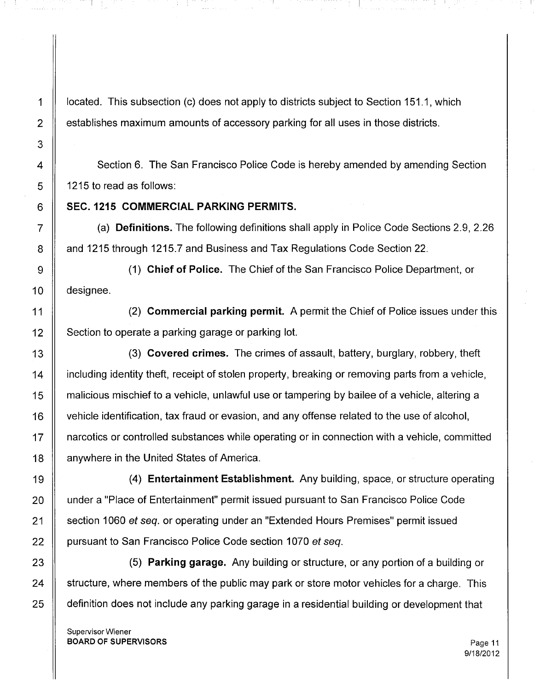1 | located. This subsection (c) does not apply to districts subject to Section 151.1, which 2 | establishes maximum amounts of accessory parking for all uses in those districts.

4 Section 6. The San Francisco Police Code is hereby amended by amending Section  $5 \parallel 1215$  to read as follows:

## 6 SEC. 1215 **COMMERCIAL PARKING PERMITS.**

7 (a) **Definitions.** The following definitions shall apply in Police Code Sections 2.9, 2.26 8 | and 1215 through 1215.7 and Business and Tax Regulations Code Section 22.

9 (1) **Chief of Police.** The Chief of the San Francisco Police Department, or 10 designee.

11 (2) **Commercial parking permit.** A permit the Chief of Police issues under this  $12$  Section to operate a parking garage or parking lot.

13 (3) **Covered crimes.** The crimes of assault, battery, burglary, robbery, theft 14 | including identity theft, receipt of stolen property, breaking or removing parts from a vehicle, 15 | malicious mischief to a vehicle, unlawful use or tampering by bailee of a vehicle, altering a 16 vehicle identification, tax fraud or evasion, and any offense related to the use of alcohol, 17 narcotics or controlled substances while operating or in connection with a vehicle, committed 18 | anywhere in the United States of America.

19 (4) **Entertainment Establishment.** Any building, space, or structure operating 20 | under a "Place of Entertainment" permit issued pursuant to San Francisco Police Code 21 Section 1060 et seq. or operating under an "Extended Hours Premises" permit issued 22 | pursuant to San Francisco Police Code section 1070 et seq.

23 (5) **Parking garage.** Any building or structure, or any portion of a building or 24  $\parallel$  structure, where members of the public may park or store motor vehicles for a charge. This 25 | definition does not include any parking garage in a residential building or development that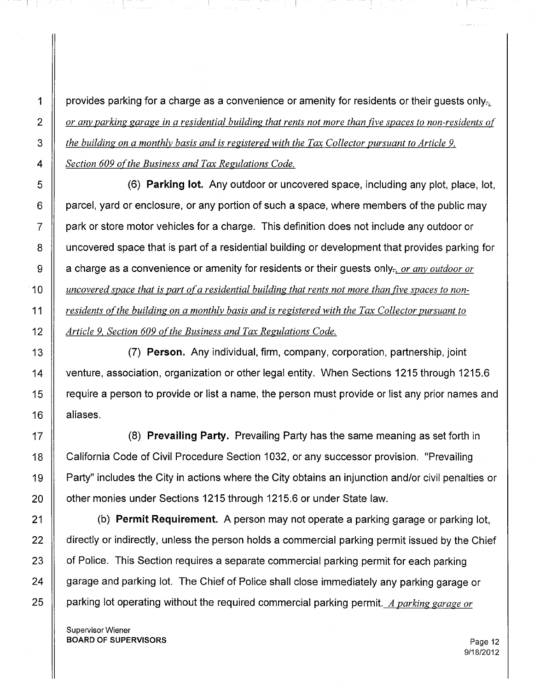$\parallel$  provides parking for a charge as a convenience or amenity for residents or their guests only. 2 cr any parking garage in a residential building that rents not more than five spaces to non-residents of *the building on a monthly basis and is registered with the Tax Collector pursuant to Article 9, Section 609 ofthe Business and Tax Regulations Code.*

 (6) **Parking lot.** Any outdoor or uncovered space, including any plot, place, lot, **parcel, yard or enclosure, or any portion of such a space, where members of the public may**  park or store motor vehicles for a charge. This definition does not include any outdoor or 8 I uncovered space that is part of a residential building or development that provides parking for 9 a charge as a convenience or amenity for residents or their guests only:-, *or any outdoor or*  $\parallel$  uncovered space that is part of a residential building that rents not more than five spaces to non- *residents ofthe building on a monthly basis and is registered with the Tax Collector pursuant to Article* 9, *Section 609 ofthe Business and Tax Regulations Code.*

13 (7) **Person.** Any individual, firm, company, corporation, partnership, joint 14 | venture, association, organization or other legal entity. When Sections 1215 through 1215.6 15 | require a person to provide or list a name, the person must provide or list any prior names and 16 | aliases.

17 (8) **Prevailing Party.** Prevailing Party has the same meaning as set forth in 18 California Code of Civil Procedure Section 1032, or any successor provision. "Prevailing 19 Party" includes the City in actions where the City obtains an injunction and/or civil penalties or 20 | other monies under Sections 1215 through 1215.6 or under State law.

21 (b) **Permit Requirement.** A person may not operate a parking garage or parking lot, 22 directly or indirectly, unless the person holds a commercial parking permit issued by the Chief 23 | of Police. This Section requires a separate commercial parking permit for each parking 24 | garage and parking lot. The Chief of Police shall close immediately any parking garage or 25 parking lot operating without the required commercial parking permit. *A parking garage or*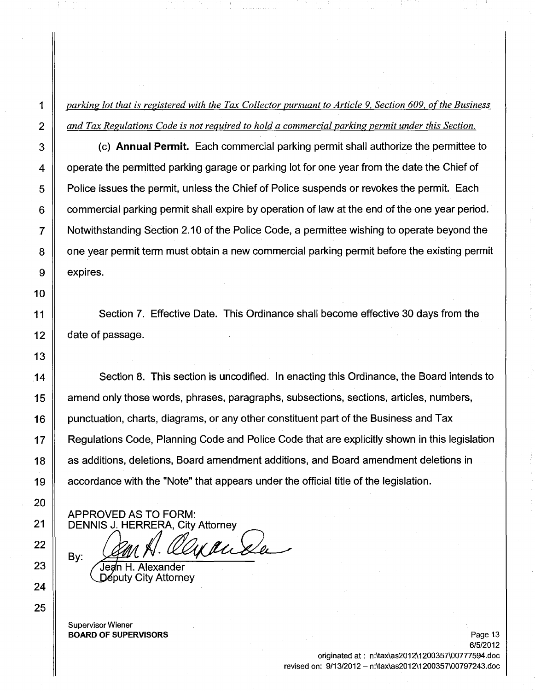1 *parking lot that is registered with the Tax Collector pursuant to Article* 9, *Section 609, ofthe Business 2 and Tax Regulations Code is not required to hold a commercial parking permit under this Section.*

3 (c) **Annual Permit.** Each commercial parking permit shall authorize the permittee to 4  $\parallel$  operate the permitted parking garage or parking lot for one year from the date the Chief of 5 **Police issues the permit, unless the Chief of Police suspends or revokes the permit. Each**  $6 \parallel$  commercial parking permit shall expire by operation of law at the end of the one year period. 7 Notwithstanding Section 2.10 of the Police Code, a permittee wishing to operate beyond the 8 | one year permit term must obtain a new commercial parking permit before the existing permit  $9 \parallel$  expires.

Section 7. Effective Date. This Ordinance shall become effective 30 days from the date of passage.

14 Section 8. This section is uncodified. In enacting this Ordinance, the Board intends to 15 degment only those words, phrases, paragraphs, subsections, sections, articles, numbers, 16 | punctuation, charts, diagrams, or any other constituent part of the Business and Tax 17 **A** Regulations Code, Planning Code and Police Code that are explicitly shown in this legislation 18 | as additions, deletions, Board amendment additions, and Board amendment deletions in 19 accordance with the "Note" that appears under the official title of the legislation.

APPROVED AS TO FORM: DENNIS J. HERRERA, City Attorney

BETTING OF THE NEWS ONLY THE U.S. ONLY THE U.S. OF

Deputy City Attorney

Supervisor Wiener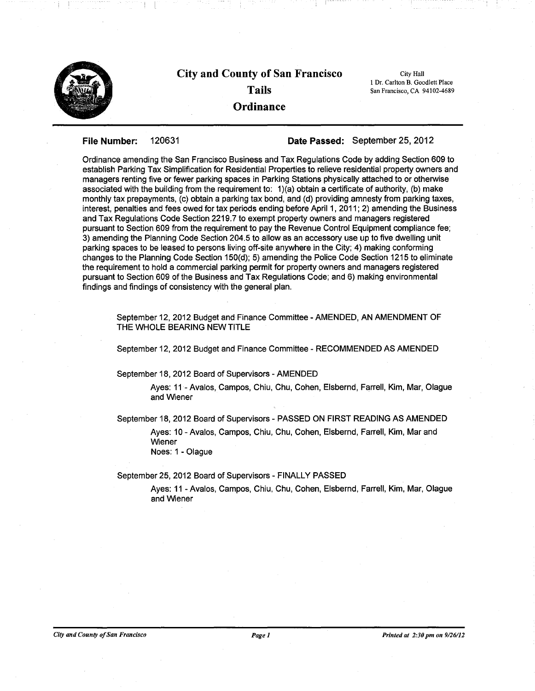

File Number: 120631 Date Passed: September 25,2012

Ordinance amending the San Francisco Business and Tax Regulations Code by adding Section 609 to establish Parking Tax Simplification for Residential Properties to relieve residential property owners and managers renting five or fewer parking spaces in Parking Stations physically attached to or otherwise associated with the building from the requirement to: 1)(a) obtain a certificate of authority, (b) make monthly tax prepayments, (c) obtain a parking tax bond, and (d) providing amnesty from parking taxes, interest, penalties and fees owed for tax periods ending before April 1, 2011; 2) amending the Business and Tax Regulations Code Section 2219.7 to exempt property owners and managers registered pursuant to Section 609 from the requirement to pay the Revenue Control Equipment compliance fee; 3) amending the Planning Code Section 204.5 to allow as an accessory use up to five dwelling unit parking spaces to be leased to persons living off-site anywhere in the City; 4) making conforming changes to the Planning Code Section 150(d); 5) amending the Police Code Section 1215 to eliminate the requirement to hold a commercial parking permit for property owners and managers registered pursuant to Section 609 of the Business and Tax Regulations Code; and 6) making environmental findings and findings of consistency with the general plan.

September 12, 2012 Budget and Finance Committee - AMENDED, AN AMENDMENT OF THE WHOLE BEARING NEW TITLE

September 12,2012 Budget and Finance Committee - RECOMMENDED AS AMENDED

September 18, 2012 Board of Supervisors - AMENDED

Ayes: 11- Avalos, Campos, Chiu, Chu, Cohen, Elsbernd, Farrell, Kim, Mar, Olague and Wiener

September 18,2012 Board of Supervisors - PASSED ON FIRST READING AS AMENDED

Ayes: 10 - Avalos, Campos, Chiu, Chu, Cohen, Elsbernd, Farrell, Kim, Mar and Wiener Noes: 1 - Olague

September 25, 2012 Board of Supervisors - FINALLY PASSED

Ayes: 11 - Avalos, Campos, Chiu, Chu, Cohen, Elsbernd, Farrell, Kim, Mar, Olague and Wiener